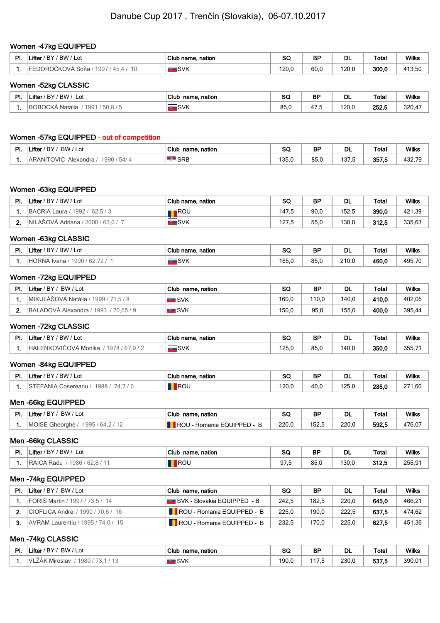#### Women -47kg EQUIPPED

| ים | <b><i><u>P. March 2004</u></i></b><br>'BW /<br>BY<br>Lot<br>_ifter | Club<br>nation<br>) name. | $\sim$<br>ov. | <b>BP</b><br>- - | <b>DL</b> | <b>Total</b> | <b>Wilks</b>     |
|----|--------------------------------------------------------------------|---------------------------|---------------|------------------|-----------|--------------|------------------|
|    | iona<br>чч<br>טי<br>u u                                            | <b>SVK</b>                | 120.0         | 60(              | 120,0     | 300,0        | 113 50<br>413,5⊾ |

### Women -52kg CLASSIC

| ÐГ<br>Ξι. | Lifter<br>' BW<br>'BY<br>∟ot<br>$\sim$ | Club<br>name.<br>, nation                                                               | cc<br>ວບ | ВF                     | DL    | Total | <b>Wilks</b> |
|-----------|----------------------------------------|-----------------------------------------------------------------------------------------|----------|------------------------|-------|-------|--------------|
|           | .<br>1991<br>ıR(<br>Natalia<br>50.87   | <u> The Communication of the Communication of</u><br>SVK<br>$\sim$ 100 $\pm$ 100 $\sim$ | 85,0     | $\overline{a}$<br>47.5 | 120.0 | 252.5 | 320,4        |

## Women -57kg EQUIPPED – out of competition

| DI. | Lifter<br>BW<br>' BY<br>$'$ Lot                                 | Club<br>name, nation | ິ<br>ಀಀ     | <b>BF</b> | DL          | Total | <b>Wilks</b>                             |
|-----|-----------------------------------------------------------------|----------------------|-------------|-----------|-------------|-------|------------------------------------------|
|     | 54/<br>1990.<br>OVIC <sup>-</sup><br><b>ARANIT</b><br>Alexandra | <b>SRB</b>           | 10F<br>ט.טו | 85.0      | 1075<br>. J | 357,5 | $\neg$<br>$\sim$<br>$\mathbf{A}$<br>−∪∠. |

## Women -63kg EQUIPPED

| PI. | Lifter / BY / BW / Lot             | Club name, nation | SC    | <b>BP</b> | DL    | <b>Total</b> | <b>Wilks</b> |
|-----|------------------------------------|-------------------|-------|-----------|-------|--------------|--------------|
|     | BACRIA Laura / 1992 / 62,5 / 3     | ∎ROU              | 147.5 | 90.0      | 152.5 | 390.0        | 421,39       |
|     | NILAŠOVÁ Adriana / 2000 / 63.0 / 7 | <b>I</b> SVK      | 127.5 | 55,0      | 130.0 | 312.5        | 335.63       |

#### Women -63kg CLASSIC

| ÐI | .ifter<br>BW / Lot<br><b>BY</b>                       | Club name, nation | ົ<br>วษ                | <b>BP</b> | DL    | <b>Total</b> | Wilks       |
|----|-------------------------------------------------------|-------------------|------------------------|-----------|-------|--------------|-------------|
|    | <sup>1</sup> HORNA Ivana.<br>62<br>1990.<br><b>__</b> | ıSVK              | $\overline{A}$<br>00.U | 85.C      | 210.0 | 460,0        | 40F<br>rJJ, |

#### Women -72kg EQUIPPED

| <b>PI</b> | Lifter / BY / BW / Lot                | Club name, nation  | SC    | ΒF    | DL    | Total | <b>Wilks</b> |
|-----------|---------------------------------------|--------------------|-------|-------|-------|-------|--------------|
|           | MIKULÁŠOVÁ Natália / 1999 / 71,5 / 8  | <b>EXAMPLE</b> SVK | 160.0 | 110.0 | 140.0 | 410.0 | 402,05       |
|           | BALADOVÁ Alexandra / 1993 / 70.65 / 9 | <b>EL</b> SVK      | 150.0 | 95,0  | 155.0 | 400.0 | 395,44       |

#### Women -72kg CLASSIC

| DL.<br>Ξ. | $\sim$<br>' BW / l<br>∕ים י<br>Lot<br>_ifter<br>ור                      | Club name, nation                                        | ~~<br>ಀ             | <b>BF</b> | DL    | Total | <b>Wilks</b><br>. |
|-----------|-------------------------------------------------------------------------|----------------------------------------------------------|---------------------|-----------|-------|-------|-------------------|
|           | <b>FNK</b><br>`HAL<br>$\sim$ $\sim$<br>17 L<br>7 O<br>Monika<br>$\cdot$ | <b>Contract Contract Contract Contract</b><br><b>SVK</b> | $-$<br>-<br>1 Z.J.U | 85,0      | 140.1 | 350,0 | 355,7             |

#### Women -84kg EQUIPPED

| DI. | ' BW .<br>.<br>BY<br>Lot<br>_ifter | Club name, nation | 00<br>$\tilde{}$ | <b>BP</b> | <b>DL</b> | Total | <b>Wilks</b>     |
|-----|------------------------------------|-------------------|------------------|-----------|-----------|-------|------------------|
|     | 988<br>ANIA<br>`osereanu           | <b>ROL</b>        | 120.0            | 40,0      | 125,0     | 285,0 | 271,60<br>$\sim$ |

#### Men -66kg EQUIPPED

| ים | Lifter<br>BW / Lot<br><b>BY</b>            | Club<br>name, nation                         | ົ<br>จษ | <b>BF</b> | DL    | Total | <b>Wilks</b> |
|----|--------------------------------------------|----------------------------------------------|---------|-----------|-------|-------|--------------|
|    | Gheorahe<br><b>MOISE</b><br>1995<br>$\sim$ | $\sim$ FOUIPPED - $\sim$<br>`ROL.<br>Romania | 220,0   | 152.5     | 220.0 | 592.5 | 476,0        |

#### Men -66kg CLASSIC

| DI.<br>٠. | .<br><b>RW</b><br>$\sim$ DV.<br>∟ifter ∶<br>∟ot<br>ו ח | Club<br>name, nation | $\sim$<br>ು     | BP        | <b>DL</b> | Total | <b>Wilks</b>                |
|-----------|--------------------------------------------------------|----------------------|-----------------|-----------|-----------|-------|-----------------------------|
| . .       | <b>TUXE</b><br>≺adu<br>$\sim$ $\sim$                   | <b>ROL</b>           | ົ<br><b>UI.</b> | ᅈ<br>oo.u | 130.0     | 312.5 | つにに<br>$\sim$<br>200.0<br>. |

#### Men -74kg EQUIPPED

| PI. | Lifter / BY / BW / Lot             | Club name nation                                 | SQ    | BP    | DL    | Total | <b>Wilks</b> |
|-----|------------------------------------|--------------------------------------------------|-------|-------|-------|-------|--------------|
|     | FORIŠ Martin / 1997 / 73,5 / 14    | <b>EXECTS STATE:</b> SVK - Slovakia EQUIPPED - B | 242.5 | 182.5 | 220.0 | 645.0 | 466.21       |
|     | CIOFLICA Andrei / 1990 / 70.6 / 16 | ROU - Romania EQUIPPED - B                       | 225.0 | 190.0 | 222.5 | 637.5 | 474.62       |
|     | AVRAM Laurentiu / 1995 / 74,0 / 15 | ROU - Romania EQUIPPED - B                       | 232.5 | 170.0 | 225.0 | 627.5 | 451,36       |

#### Men -74kg CLASSIC

| DI.<br>г. | <b>Contact Contact Contact Contact Contact Contact Contact Contact Contact Contact Contact Contact Contact Contact Contact Contact Contact Contact Contact Contact Contact Contact Contact Contact Contact Contact Contact Conta</b><br>BW,<br>BY<br>Lot<br>∟mer | Club<br>name, nation    | $\sim$<br>ত্য | BF                | DL    | Total | <b>Wilks</b>       |
|-----------|------------------------------------------------------------------------------------------------------------------------------------------------------------------------------------------------------------------------------------------------------------------|-------------------------|---------------|-------------------|-------|-------|--------------------|
|           | 1980<br>∕ A⊬<br>Miroslay<br>$\mathcal{U}$                                                                                                                                                                                                                        | $S\vee K$<br><b>UVI</b> | 190.C         | $\cdot$ $ -$<br>. | 230,0 | 537.5 | 390.0 <sup>2</sup> |